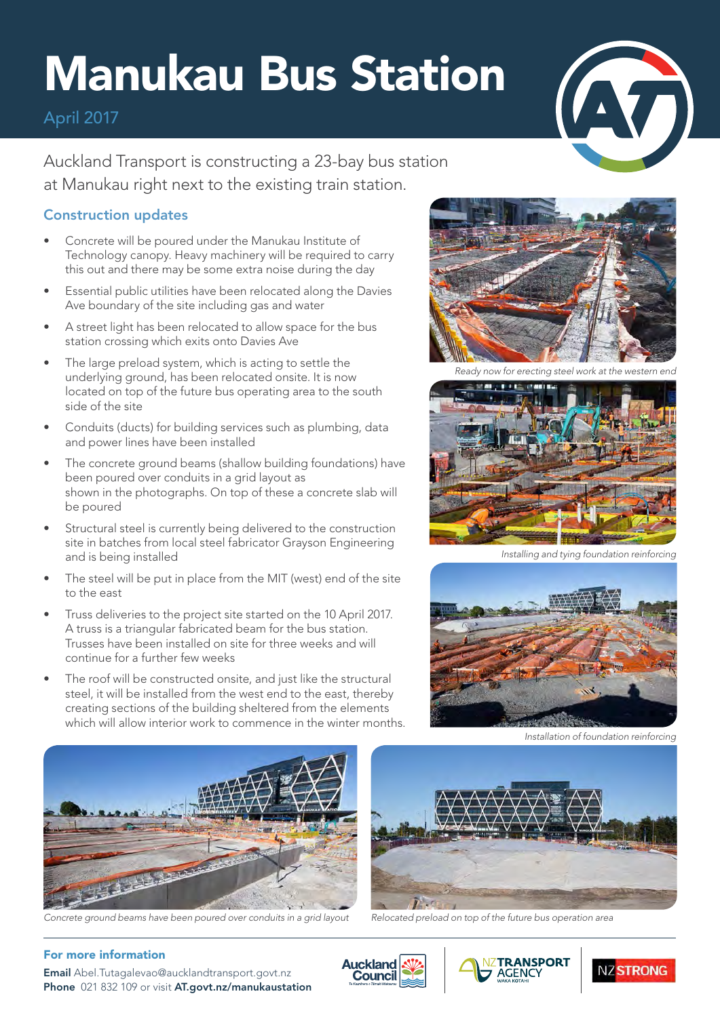# Manukau Bus Station

### April 2017



Auckland Transport is constructing a 23-bay bus station at Manukau right next to the existing train station.

### Construction updates

- Concrete will be poured under the Manukau Institute of Technology canopy. Heavy machinery will be required to carry this out and there may be some extra noise during the day
- Essential public utilities have been relocated along the Davies Ave boundary of the site including gas and water
- A street light has been relocated to allow space for the bus station crossing which exits onto Davies Ave
- The large preload system, which is acting to settle the underlying ground, has been relocated onsite. It is now located on top of the future bus operating area to the south side of the site
- Conduits (ducts) for building services such as plumbing, data and power lines have been installed
- The concrete ground beams (shallow building foundations) have been poured over conduits in a grid layout as shown in the photographs. On top of these a concrete slab will be poured
- Structural steel is currently being delivered to the construction site in batches from local steel fabricator Grayson Engineering and is being installed
- The steel will be put in place from the MIT (west) end of the site to the east
- Truss deliveries to the project site started on the 10 April 2017. A truss is a triangular fabricated beam for the bus station. Trusses have been installed on site for three weeks and will continue for a further few weeks
- The roof will be constructed onsite, and just like the structural steel, it will be installed from the west end to the east, thereby creating sections of the building sheltered from the elements which will allow interior work to commence in the winter months.



*Ready now for erecting steel work at the western end*



*Installing and tying foundation reinforcing*



*Installation of foundation reinforcing*



*Concrete ground beams have been poured over conduits in a grid layout Relocated preload on top of the future bus operation area*



#### For more information

Email [Abel.Tutagalevao@aucklandtransport.govt.nz](mailto:Abel.Tutagalevao%40aucklandtransport.govt.nz?subject=) Phone 021 832 109 or visit [AT.govt.nz/manukaustation](http://AT.govt.nz/manukaustation)